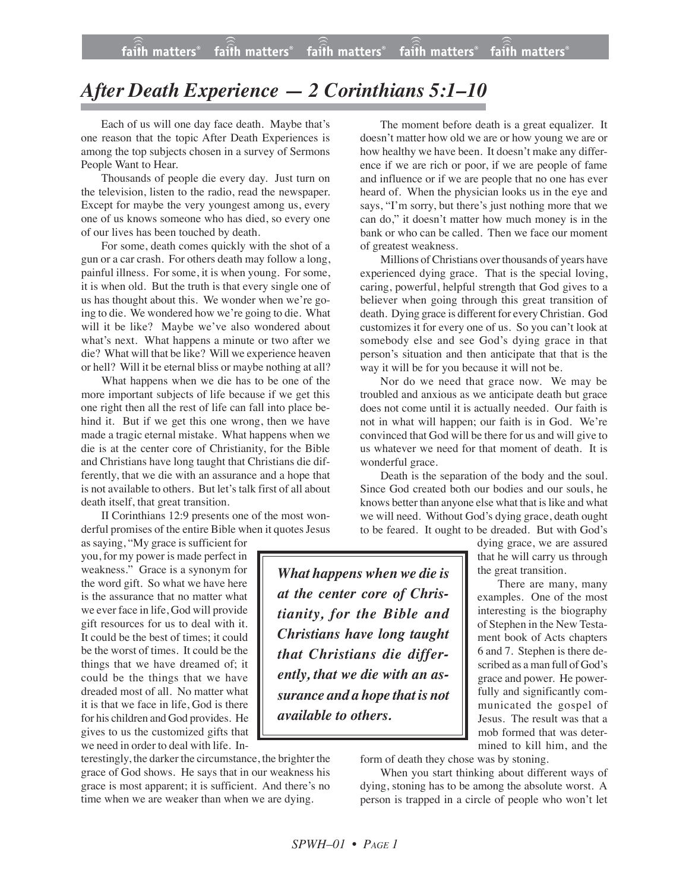## *After Death Experience — 2 Corinthians 5:1–10*

Each of us will one day face death. Maybe that's one reason that the topic After Death Experiences is among the top subjects chosen in a survey of Sermons People Want to Hear.

Thousands of people die every day. Just turn on the television, listen to the radio, read the newspaper. Except for maybe the very youngest among us, every one of us knows someone who has died, so every one of our lives has been touched by death.

For some, death comes quickly with the shot of a gun or a car crash. For others death may follow a long, painful illness. For some, it is when young. For some, it is when old. But the truth is that every single one of us has thought about this. We wonder when we're going to die. We wondered how we're going to die. What will it be like? Maybe we've also wondered about what's next. What happens a minute or two after we die? What will that be like? Will we experience heaven or hell? Will it be eternal bliss or maybe nothing at all?

What happens when we die has to be one of the more important subjects of life because if we get this one right then all the rest of life can fall into place behind it. But if we get this one wrong, then we have made a tragic eternal mistake. What happens when we die is at the center core of Christianity, for the Bible and Christians have long taught that Christians die differently, that we die with an assurance and a hope that is not available to others. But let's talk first of all about death itself, that great transition.

II Corinthians 12:9 presents one of the most wonderful promises of the entire Bible when it quotes Jesus

as saying, "My grace is sufficient for you, for my power is made perfect in weakness." Grace is a synonym for the word gift. So what we have here is the assurance that no matter what we ever face in life, God will provide gift resources for us to deal with it. It could be the best of times; it could be the worst of times. It could be the things that we have dreamed of; it could be the things that we have dreaded most of all. No matter what it is that we face in life, God is there for his children and God provides. He gives to us the customized gifts that we need in order to deal with life. In-

terestingly, the darker the circumstance, the brighter the grace of God shows. He says that in our weakness his grace is most apparent; it is sufficient. And there's no time when we are weaker than when we are dying.

The moment before death is a great equalizer. It doesn't matter how old we are or how young we are or how healthy we have been. It doesn't make any difference if we are rich or poor, if we are people of fame and influence or if we are people that no one has ever heard of. When the physician looks us in the eye and says, "I'm sorry, but there's just nothing more that we can do," it doesn't matter how much money is in the bank or who can be called. Then we face our moment of greatest weakness.

Millions of Christians over thousands of years have experienced dying grace. That is the special loving, caring, powerful, helpful strength that God gives to a believer when going through this great transition of death. Dying grace is different for every Christian. God customizes it for every one of us. So you can't look at somebody else and see God's dying grace in that person's situation and then anticipate that that is the way it will be for you because it will not be.

Nor do we need that grace now. We may be troubled and anxious as we anticipate death but grace does not come until it is actually needed. Our faith is not in what will happen; our faith is in God. We're convinced that God will be there for us and will give to us whatever we need for that moment of death. It is wonderful grace.

Death is the separation of the body and the soul. Since God created both our bodies and our souls, he knows better than anyone else what that is like and what we will need. Without God's dying grace, death ought to be feared. It ought to be dreaded. But with God's

*What happens when we die is at the center core of Christianity, for the Bible and Christians have long taught that Christians die differently, that we die with an assurance and a hope that is not available to others.*

dying grace, we are assured that he will carry us through the great transition.

There are many, many examples. One of the most interesting is the biography of Stephen in the New Testament book of Acts chapters 6 and 7. Stephen is there described as a man full of God's grace and power. He powerfully and significantly communicated the gospel of Jesus. The result was that a mob formed that was determined to kill him, and the

form of death they chose was by stoning.

When you start thinking about different ways of dying, stoning has to be among the absolute worst. A person is trapped in a circle of people who won't let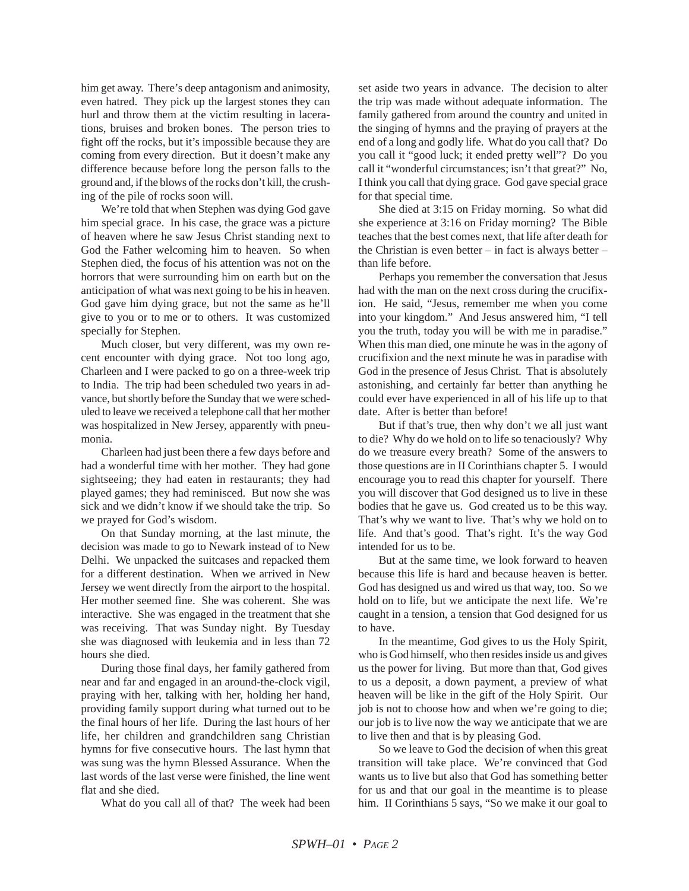him get away. There's deep antagonism and animosity, even hatred. They pick up the largest stones they can hurl and throw them at the victim resulting in lacerations, bruises and broken bones. The person tries to fight off the rocks, but it's impossible because they are coming from every direction. But it doesn't make any difference because before long the person falls to the ground and, if the blows of the rocks don't kill, the crushing of the pile of rocks soon will.

We're told that when Stephen was dying God gave him special grace. In his case, the grace was a picture of heaven where he saw Jesus Christ standing next to God the Father welcoming him to heaven. So when Stephen died, the focus of his attention was not on the horrors that were surrounding him on earth but on the anticipation of what was next going to be his in heaven. God gave him dying grace, but not the same as he'll give to you or to me or to others. It was customized specially for Stephen.

Much closer, but very different, was my own recent encounter with dying grace. Not too long ago, Charleen and I were packed to go on a three-week trip to India. The trip had been scheduled two years in advance, but shortly before the Sunday that we were scheduled to leave we received a telephone call that her mother was hospitalized in New Jersey, apparently with pneumonia.

Charleen had just been there a few days before and had a wonderful time with her mother. They had gone sightseeing; they had eaten in restaurants; they had played games; they had reminisced. But now she was sick and we didn't know if we should take the trip. So we prayed for God's wisdom.

On that Sunday morning, at the last minute, the decision was made to go to Newark instead of to New Delhi. We unpacked the suitcases and repacked them for a different destination. When we arrived in New Jersey we went directly from the airport to the hospital. Her mother seemed fine. She was coherent. She was interactive. She was engaged in the treatment that she was receiving. That was Sunday night. By Tuesday she was diagnosed with leukemia and in less than 72 hours she died.

During those final days, her family gathered from near and far and engaged in an around-the-clock vigil, praying with her, talking with her, holding her hand, providing family support during what turned out to be the final hours of her life. During the last hours of her life, her children and grandchildren sang Christian hymns for five consecutive hours. The last hymn that was sung was the hymn Blessed Assurance. When the last words of the last verse were finished, the line went flat and she died.

What do you call all of that? The week had been

set aside two years in advance. The decision to alter the trip was made without adequate information. The family gathered from around the country and united in the singing of hymns and the praying of prayers at the end of a long and godly life. What do you call that? Do you call it "good luck; it ended pretty well"? Do you call it "wonderful circumstances; isn't that great?" No, I think you call that dying grace. God gave special grace for that special time.

She died at 3:15 on Friday morning. So what did she experience at 3:16 on Friday morning? The Bible teaches that the best comes next, that life after death for the Christian is even better  $-$  in fact is always better  $$ than life before.

Perhaps you remember the conversation that Jesus had with the man on the next cross during the crucifixion. He said, "Jesus, remember me when you come into your kingdom." And Jesus answered him, "I tell you the truth, today you will be with me in paradise." When this man died, one minute he was in the agony of crucifixion and the next minute he was in paradise with God in the presence of Jesus Christ. That is absolutely astonishing, and certainly far better than anything he could ever have experienced in all of his life up to that date. After is better than before!

But if that's true, then why don't we all just want to die? Why do we hold on to life so tenaciously? Why do we treasure every breath? Some of the answers to those questions are in II Corinthians chapter 5. I would encourage you to read this chapter for yourself. There you will discover that God designed us to live in these bodies that he gave us. God created us to be this way. That's why we want to live. That's why we hold on to life. And that's good. That's right. It's the way God intended for us to be.

But at the same time, we look forward to heaven because this life is hard and because heaven is better. God has designed us and wired us that way, too. So we hold on to life, but we anticipate the next life. We're caught in a tension, a tension that God designed for us to have.

In the meantime, God gives to us the Holy Spirit, who is God himself, who then resides inside us and gives us the power for living. But more than that, God gives to us a deposit, a down payment, a preview of what heaven will be like in the gift of the Holy Spirit. Our job is not to choose how and when we're going to die; our job is to live now the way we anticipate that we are to live then and that is by pleasing God.

So we leave to God the decision of when this great transition will take place. We're convinced that God wants us to live but also that God has something better for us and that our goal in the meantime is to please him. II Corinthians 5 says, "So we make it our goal to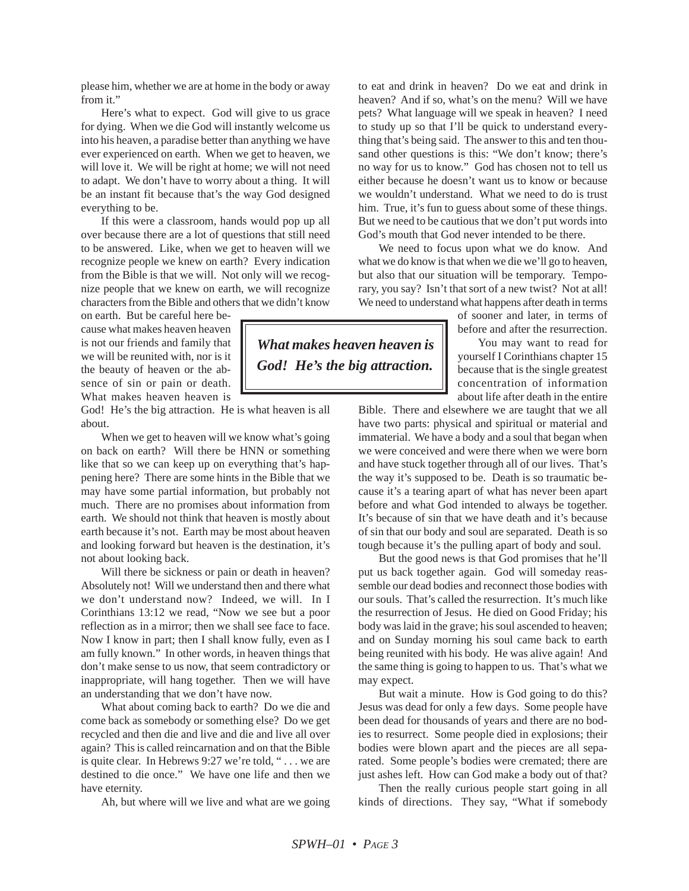please him, whether we are at home in the body or away from it."

Here's what to expect. God will give to us grace for dying. When we die God will instantly welcome us into his heaven, a paradise better than anything we have ever experienced on earth. When we get to heaven, we will love it. We will be right at home; we will not need to adapt. We don't have to worry about a thing. It will be an instant fit because that's the way God designed everything to be.

If this were a classroom, hands would pop up all over because there are a lot of questions that still need to be answered. Like, when we get to heaven will we recognize people we knew on earth? Every indication from the Bible is that we will. Not only will we recognize people that we knew on earth, we will recognize characters from the Bible and others that we didn't know

on earth. But be careful here because what makes heaven heaven is not our friends and family that we will be reunited with, nor is it the beauty of heaven or the absence of sin or pain or death. What makes heaven heaven is

God! He's the big attraction. He is what heaven is all about.

When we get to heaven will we know what's going on back on earth? Will there be HNN or something like that so we can keep up on everything that's happening here? There are some hints in the Bible that we may have some partial information, but probably not much. There are no promises about information from earth. We should not think that heaven is mostly about earth because it's not. Earth may be most about heaven and looking forward but heaven is the destination, it's not about looking back.

Will there be sickness or pain or death in heaven? Absolutely not! Will we understand then and there what we don't understand now? Indeed, we will. In I Corinthians 13:12 we read, "Now we see but a poor reflection as in a mirror; then we shall see face to face. Now I know in part; then I shall know fully, even as I am fully known." In other words, in heaven things that don't make sense to us now, that seem contradictory or inappropriate, will hang together. Then we will have an understanding that we don't have now.

What about coming back to earth? Do we die and come back as somebody or something else? Do we get recycled and then die and live and die and live all over again? This is called reincarnation and on that the Bible is quite clear. In Hebrews 9:27 we're told, " . . . we are destined to die once."We have one life and then we have eternity.

Ah, but where will we live and what are we going

to eat and drink in heaven? Do we eat and drink in heaven? And if so, what's on the menu? Will we have pets? What language will we speak in heaven? I need to study up so that I'll be quick to understand everything that's being said. The answer to this and ten thousand other questions is this: "We don't know; there's no way for us to know." God has chosen not to tell us either because he doesn't want us to know or because we wouldn't understand. What we need to do is trust him. True, it's fun to guess about some of these things. But we need to be cautious that we don't put words into God's mouth that God never intended to be there.

We need to focus upon what we do know. And what we do know is that when we die we'll go to heaven, but also that our situation will be temporary. Temporary, you say? Isn't that sort of a new twist? Not at all! We need to understand what happens after death in terms

> of sooner and later, in terms of before and after the resurrection.

You may want to read for yourself I Corinthians chapter 15 because that is the single greatest concentration of information about life after death in the entire

Bible. There and elsewhere we are taught that we all have two parts: physical and spiritual or material and immaterial. We have a body and a soul that began when we were conceived and were there when we were born and have stuck together through all of our lives. That's the way it's supposed to be. Death is so traumatic because it's a tearing apart of what has never been apart before and what God intended to always be together. It's because of sin that we have death and it's because of sin that our body and soul are separated. Death is so tough because it's the pulling apart of body and soul.

But the good news is that God promises that he'll put us back together again. God will someday reassemble our dead bodies and reconnect those bodies with our souls. That's called the resurrection. It's much like the resurrection of Jesus. He died on Good Friday; his body was laid in the grave; his soul ascended to heaven; and on Sunday morning his soul came back to earth being reunited with his body. He was alive again! And the same thing is going to happen to us. That's what we may expect.

But wait a minute. How is God going to do this? Jesus was dead for only a few days. Some people have been dead for thousands of years and there are no bodies to resurrect. Some people died in explosions; their bodies were blown apart and the pieces are all separated. Some people's bodies were cremated; there are just ashes left. How can God make a body out of that?

Then the really curious people start going in all kinds of directions. They say, "What if somebody

*What makes heaven heaven is God! He's the big attraction.*